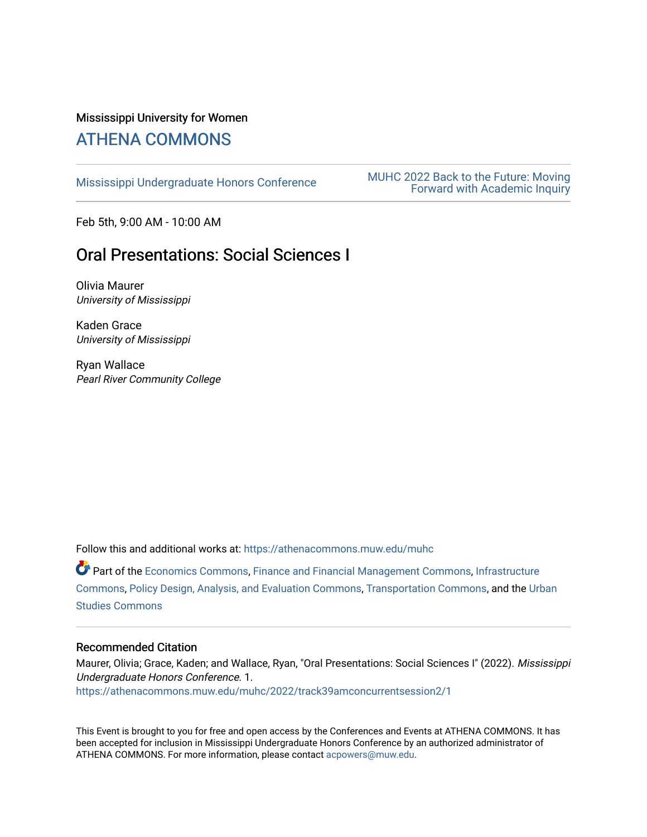# Mississippi University for Women

# [ATHENA COMMONS](https://athenacommons.muw.edu/)

MUHC 2022 Back to the Future: Moving<br>[Mississippi Undergraduate Honors Conference](https://athenacommons.muw.edu/muhc) **MUHC** 2022 Back to the Future: Moving [Forward with Academic Inquiry](https://athenacommons.muw.edu/muhc/2022) 

Feb 5th, 9:00 AM - 10:00 AM

# Oral Presentations: Social Sciences I

Olivia Maurer University of Mississippi

Kaden Grace University of Mississippi

Ryan Wallace Pearl River Community College

Follow this and additional works at: [https://athenacommons.muw.edu/muhc](https://athenacommons.muw.edu/muhc?utm_source=athenacommons.muw.edu%2Fmuhc%2F2022%2Ftrack39amconcurrentsession2%2F1&utm_medium=PDF&utm_campaign=PDFCoverPages) 

Part of the [Economics Commons](http://network.bepress.com/hgg/discipline/340?utm_source=athenacommons.muw.edu%2Fmuhc%2F2022%2Ftrack39amconcurrentsession2%2F1&utm_medium=PDF&utm_campaign=PDFCoverPages), [Finance and Financial Management Commons](http://network.bepress.com/hgg/discipline/631?utm_source=athenacommons.muw.edu%2Fmuhc%2F2022%2Ftrack39amconcurrentsession2%2F1&utm_medium=PDF&utm_campaign=PDFCoverPages), [Infrastructure](http://network.bepress.com/hgg/discipline/1066?utm_source=athenacommons.muw.edu%2Fmuhc%2F2022%2Ftrack39amconcurrentsession2%2F1&utm_medium=PDF&utm_campaign=PDFCoverPages)  [Commons](http://network.bepress.com/hgg/discipline/1066?utm_source=athenacommons.muw.edu%2Fmuhc%2F2022%2Ftrack39amconcurrentsession2%2F1&utm_medium=PDF&utm_campaign=PDFCoverPages), [Policy Design, Analysis, and Evaluation Commons](http://network.bepress.com/hgg/discipline/1032?utm_source=athenacommons.muw.edu%2Fmuhc%2F2022%2Ftrack39amconcurrentsession2%2F1&utm_medium=PDF&utm_campaign=PDFCoverPages), [Transportation Commons,](http://network.bepress.com/hgg/discipline/1068?utm_source=athenacommons.muw.edu%2Fmuhc%2F2022%2Ftrack39amconcurrentsession2%2F1&utm_medium=PDF&utm_campaign=PDFCoverPages) and the [Urban](http://network.bepress.com/hgg/discipline/402?utm_source=athenacommons.muw.edu%2Fmuhc%2F2022%2Ftrack39amconcurrentsession2%2F1&utm_medium=PDF&utm_campaign=PDFCoverPages) [Studies Commons](http://network.bepress.com/hgg/discipline/402?utm_source=athenacommons.muw.edu%2Fmuhc%2F2022%2Ftrack39amconcurrentsession2%2F1&utm_medium=PDF&utm_campaign=PDFCoverPages) 

#### Recommended Citation

Maurer, Olivia; Grace, Kaden; and Wallace, Ryan, "Oral Presentations: Social Sciences I" (2022). Mississippi Undergraduate Honors Conference. 1.

[https://athenacommons.muw.edu/muhc/2022/track39amconcurrentsession2/1](https://athenacommons.muw.edu/muhc/2022/track39amconcurrentsession2/1?utm_source=athenacommons.muw.edu%2Fmuhc%2F2022%2Ftrack39amconcurrentsession2%2F1&utm_medium=PDF&utm_campaign=PDFCoverPages) 

This Event is brought to you for free and open access by the Conferences and Events at ATHENA COMMONS. It has been accepted for inclusion in Mississippi Undergraduate Honors Conference by an authorized administrator of ATHENA COMMONS. For more information, please contact [acpowers@muw.edu](mailto:acpowers@muw.edu).